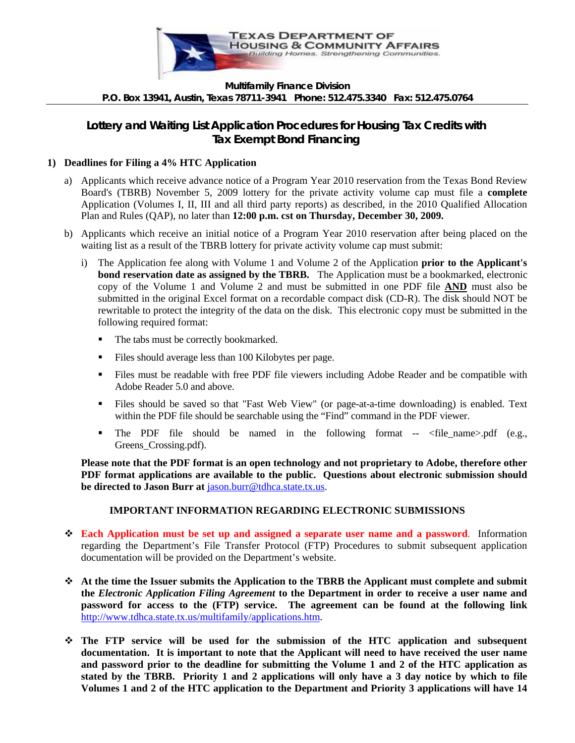

#### **Multifamily Finance Division P.O. Box 13941, Austin, Texas 78711-3941 Phone: 512.475.3340 Fax: 512.475.0764**

# **Lottery and Waiting List Application Procedures for Housing Tax Credits with Tax Exempt Bond Financing**

#### **1) Deadlines for Filing a 4% HTC Application**

- a) Applicants which receive advance notice of a Program Year 2010 reservation from the Texas Bond Review Board's (TBRB) November 5, 2009 lottery for the private activity volume cap must file a **complete** Application (Volumes I, II, III and all third party reports) as described, in the 2010 Qualified Allocation Plan and Rules (QAP), no later than **12:00 p.m. cst on Thursday, December 30, 2009.**
- b) Applicants which receive an initial notice of a Program Year 2010 reservation after being placed on the waiting list as a result of the TBRB lottery for private activity volume cap must submit:
	- i) The Application fee along with Volume 1 and Volume 2 of the Application **prior to the Applicant's bond reservation date as assigned by the TBRB.** The Application must be a bookmarked, electronic copy of the Volume 1 and Volume 2 and must be submitted in one PDF file **AND** must also be submitted in the original Excel format on a recordable compact disk (CD-R). The disk should NOT be rewritable to protect the integrity of the data on the disk. This electronic copy must be submitted in the following required format:
		- The tabs must be correctly bookmarked.
		- Files should average less than 100 Kilobytes per page.
		- Files must be readable with free PDF file viewers including Adobe Reader and be compatible with Adobe Reader 5.0 and above.
		- Files should be saved so that "Fast Web View" (or page-at-a-time downloading) is enabled. Text within the PDF file should be searchable using the "Find" command in the PDF viewer.
		- The PDF file should be named in the following format  $\langle$   $\rangle$   $\langle$   $\rangle$   $\langle$  e.g., Greens\_Crossing.pdf).

**Please note that the PDF format is an open technology and not proprietary to Adobe, therefore other PDF format applications are available to the public. Questions about electronic submission should be directed to Jason Burr at** [jason.burr@tdhca.state.tx.us.](mailto:Jason.burr@tdhca.state.tx.us)

## **IMPORTANT INFORMATION REGARDING ELECTRONIC SUBMISSIONS**

- **Each Application must be set up and assigned a separate user name and a password**. Information regarding the Department's File Transfer Protocol (FTP) Procedures to submit subsequent application documentation will be provided on the Department's website.
- **At the time the Issuer submits the Application to the TBRB the Applicant must complete and submit the** *Electronic Application Filing Agreement* **to the Department in order to receive a user name and password for access to the (FTP) service. The agreement can be found at the following link**  [http://www.tdhca.state.tx.us/multifamily/applications.htm.](http://www.tdhca.state.tx.us/multifamily/application.htm)
- **The FTP service will be used for the submission of the HTC application and subsequent documentation. It is important to note that the Applicant will need to have received the user name and password prior to the deadline for submitting the Volume 1 and 2 of the HTC application as stated by the TBRB. Priority 1 and 2 applications will only have a 3 day notice by which to file Volumes 1 and 2 of the HTC application to the Department and Priority 3 applications will have 14**